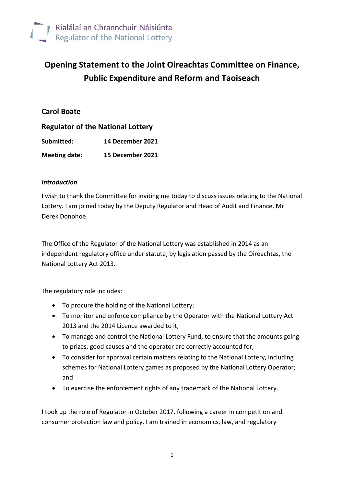

# **Opening Statement to the Joint Oireachtas Committee on Finance, Public Expenditure and Reform and Taoiseach**

# **Carol Boate**

| <b>Regulator of the National Lottery</b> |                  |
|------------------------------------------|------------------|
| Submitted:                               | 14 December 2021 |
| <b>Meeting date:</b>                     | 15 December 2021 |

#### *Introduction*

I wish to thank the Committee for inviting me today to discuss issues relating to the National Lottery. I am joined today by the Deputy Regulator and Head of Audit and Finance, Mr Derek Donohoe.

The Office of the Regulator of the National Lottery was established in 2014 as an independent regulatory office under statute, by legislation passed by the Oireachtas, the National Lottery Act 2013.

The regulatory role includes:

- To procure the holding of the National Lottery;
- To monitor and enforce compliance by the Operator with the National Lottery Act 2013 and the 2014 Licence awarded to it;
- To manage and control the National Lottery Fund, to ensure that the amounts going to prizes, good causes and the operator are correctly accounted for;
- To consider for approval certain matters relating to the National Lottery, including schemes for National Lottery games as proposed by the National Lottery Operator; and
- To exercise the enforcement rights of any trademark of the National Lottery.

I took up the role of Regulator in October 2017, following a career in competition and consumer protection law and policy. I am trained in economics, law, and regulatory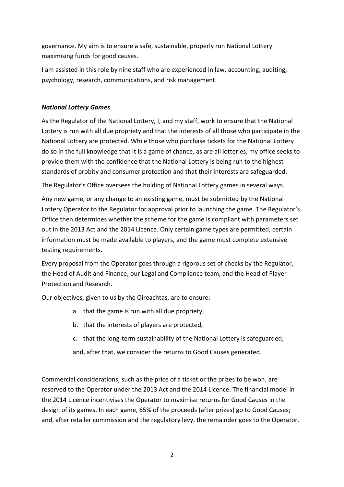governance. My aim is to ensure a safe, sustainable, properly run National Lottery maximising funds for good causes.

I am assisted in this role by nine staff who are experienced in law, accounting, auditing, psychology, research, communications, and risk management.

# *National Lottery Games*

As the Regulator of the National Lottery, I, and my staff, work to ensure that the National Lottery is run with all due propriety and that the interests of all those who participate in the National Lottery are protected. While those who purchase tickets for the National Lottery do so in the full knowledge that it is a game of chance, as are all lotteries, my office seeks to provide them with the confidence that the National Lottery is being run to the highest standards of probity and consumer protection and that their interests are safeguarded.

The Regulator's Office oversees the holding of National Lottery games in several ways.

Any new game, or any change to an existing game, must be submitted by the National Lottery Operator to the Regulator for approval prior to launching the game. The Regulator's Office then determines whether the scheme for the game is compliant with parameters set out in the 2013 Act and the 2014 Licence. Only certain game types are permitted, certain information must be made available to players, and the game must complete extensive testing requirements.

Every proposal from the Operator goes through a rigorous set of checks by the Regulator, the Head of Audit and Finance, our Legal and Compliance team, and the Head of Player Protection and Research.

Our objectives, given to us by the Oireachtas, are to ensure:

- a. that the game is run with all due propriety,
- b. that the interests of players are protected,
- c. that the long-term sustainability of the National Lottery is safeguarded,

and, after that, we consider the returns to Good Causes generated.

Commercial considerations, such as the price of a ticket or the prizes to be won, are reserved to the Operator under the 2013 Act and the 2014 Licence. The financial model in the 2014 Licence incentivises the Operator to maximise returns for Good Causes in the design of its games. In each game, 65% of the proceeds (after prizes) go to Good Causes; and, after retailer commission and the regulatory levy, the remainder goes to the Operator.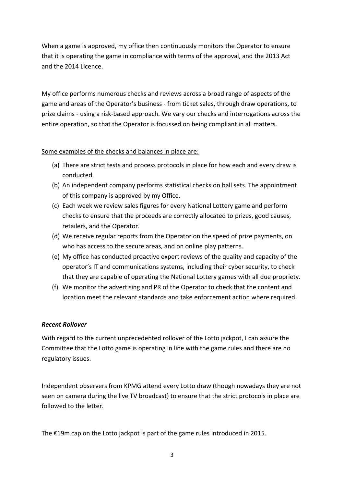When a game is approved, my office then continuously monitors the Operator to ensure that it is operating the game in compliance with terms of the approval, and the 2013 Act and the 2014 Licence.

My office performs numerous checks and reviews across a broad range of aspects of the game and areas of the Operator's business - from ticket sales, through draw operations, to prize claims - using a risk-based approach. We vary our checks and interrogations across the entire operation, so that the Operator is focussed on being compliant in all matters.

#### Some examples of the checks and balances in place are:

- (a) There are strict tests and process protocols in place for how each and every draw is conducted.
- (b) An independent company performs statistical checks on ball sets. The appointment of this company is approved by my Office.
- (c) Each week we review sales figures for every National Lottery game and perform checks to ensure that the proceeds are correctly allocated to prizes, good causes, retailers, and the Operator.
- (d) We receive regular reports from the Operator on the speed of prize payments, on who has access to the secure areas, and on online play patterns.
- (e) My office has conducted proactive expert reviews of the quality and capacity of the operator's IT and communications systems, including their cyber security, to check that they are capable of operating the National Lottery games with all due propriety.
- (f) We monitor the advertising and PR of the Operator to check that the content and location meet the relevant standards and take enforcement action where required.

#### *Recent Rollover*

With regard to the current unprecedented rollover of the Lotto jackpot, I can assure the Committee that the Lotto game is operating in line with the game rules and there are no regulatory issues.

Independent observers from KPMG attend every Lotto draw (though nowadays they are not seen on camera during the live TV broadcast) to ensure that the strict protocols in place are followed to the letter.

The €19m cap on the Lotto jackpot is part of the game rules introduced in 2015.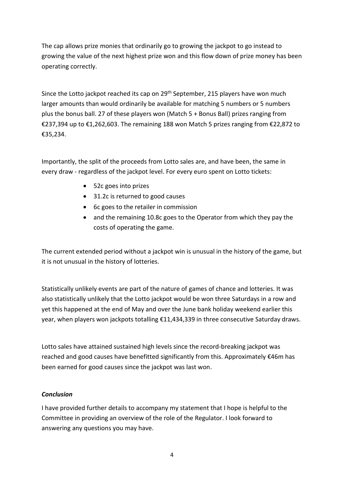The cap allows prize monies that ordinarily go to growing the jackpot to go instead to growing the value of the next highest prize won and this flow down of prize money has been operating correctly.

Since the Lotto jackpot reached its cap on 29<sup>th</sup> September, 215 players have won much larger amounts than would ordinarily be available for matching 5 numbers or 5 numbers plus the bonus ball. 27 of these players won (Match 5 + Bonus Ball) prizes ranging from €237,394 up to €1,262,603. The remaining 188 won Match 5 prizes ranging from €22,872 to €35,234.

Importantly, the split of the proceeds from Lotto sales are, and have been, the same in every draw - regardless of the jackpot level. For every euro spent on Lotto tickets:

- 52c goes into prizes
- 31.2c is returned to good causes
- 6c goes to the retailer in commission
- and the remaining 10.8c goes to the Operator from which they pay the costs of operating the game.

The current extended period without a jackpot win is unusual in the history of the game, but it is not unusual in the history of lotteries.

Statistically unlikely events are part of the nature of games of chance and lotteries. It was also statistically unlikely that the Lotto jackpot would be won three Saturdays in a row and yet this happened at the end of May and over the June bank holiday weekend earlier this year, when players won jackpots totalling €11,434,339 in three consecutive Saturday draws.

Lotto sales have attained sustained high levels since the record-breaking jackpot was reached and good causes have benefitted significantly from this. Approximately €46m has been earned for good causes since the jackpot was last won.

#### *Conclusion*

I have provided further details to accompany my statement that I hope is helpful to the Committee in providing an overview of the role of the Regulator. I look forward to answering any questions you may have.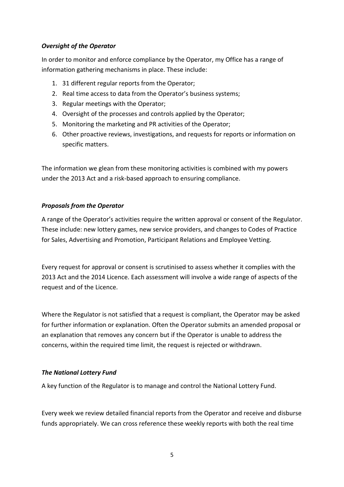### *Oversight of the Operator*

In order to monitor and enforce compliance by the Operator, my Office has a range of information gathering mechanisms in place. These include:

- 1. 31 different regular reports from the Operator;
- 2. Real time access to data from the Operator's business systems;
- 3. Regular meetings with the Operator;
- 4. Oversight of the processes and controls applied by the Operator;
- 5. Monitoring the marketing and PR activities of the Operator;
- 6. Other proactive reviews, investigations, and requests for reports or information on specific matters.

The information we glean from these monitoring activities is combined with my powers under the 2013 Act and a risk-based approach to ensuring compliance.

#### *Proposals from the Operator*

A range of the Operator's activities require the written approval or consent of the Regulator. These include: new lottery games, new service providers, and changes to Codes of Practice for Sales, Advertising and Promotion, Participant Relations and Employee Vetting.

Every request for approval or consent is scrutinised to assess whether it complies with the 2013 Act and the 2014 Licence. Each assessment will involve a wide range of aspects of the request and of the Licence.

Where the Regulator is not satisfied that a request is compliant, the Operator may be asked for further information or explanation. Often the Operator submits an amended proposal or an explanation that removes any concern but if the Operator is unable to address the concerns, within the required time limit, the request is rejected or withdrawn.

#### *The National Lottery Fund*

A key function of the Regulator is to manage and control the National Lottery Fund.

Every week we review detailed financial reports from the Operator and receive and disburse funds appropriately. We can cross reference these weekly reports with both the real time